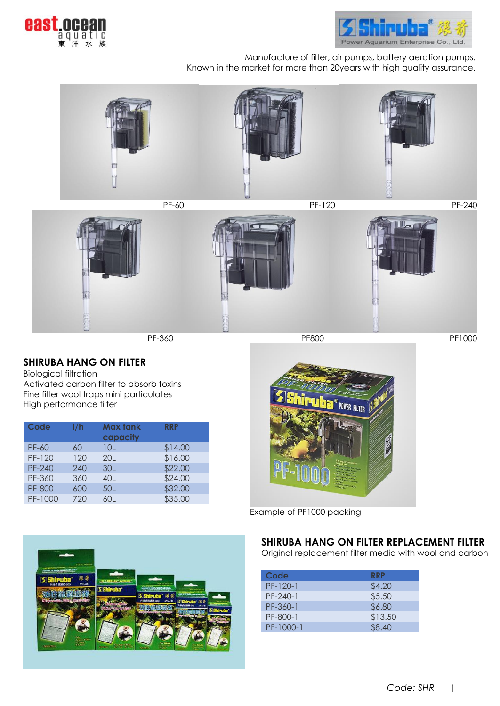



Manufacture of filter, air pumps, battery aeration pumps. Known in the market for more than 20years with high quality assurance.







PF-360 PE800 PE800 PE800 PE800 PE1000

# **SHIRUBA HANG ON FILTER**

Biological filtration Activated carbon filter to absorb toxins Fine filter wool traps mini particulates High performance filter

| I/h | <b>Max tank</b><br>capacity | <b>RRP</b> |
|-----|-----------------------------|------------|
| 60  | 10L                         | \$14.00    |
| 120 | 201                         | \$16.00    |
| 240 | 30L                         | \$22.00    |
| 360 | 40L                         | \$24.00    |
| 600 | 50L                         | \$32.00    |
| 720 | 60L                         | \$35.00    |
|     |                             |            |



Example of PF1000 packing

### **SHIRUBA HANG ON FILTER REPLACEMENT FILTER**

Original replacement filter media with wool and carbon

| Code       | <b>RRP</b> |
|------------|------------|
| $PF-120-1$ | \$4.20     |
| $PF-240-1$ | \$5.50     |
| PF-360-1   | \$6.80     |
| PF-800-1   | \$13.50    |
| PF-1000-1  | \$8.40     |

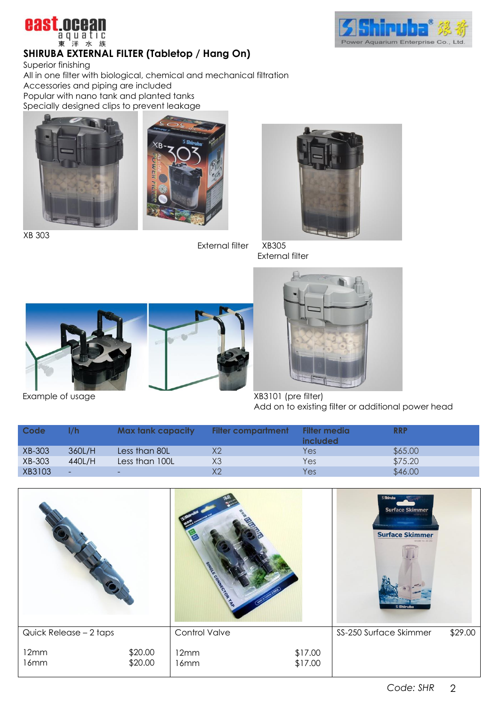



# **SHIRUBA EXTERNAL FILTER (Tabletop / Hang On)**

Superior finishing

All in one filter with biological, chemical and mechanical filtration Accessories and piping are included Popular with nano tank and planted tanks Specially designed clips to prevent leakage





XB 303

External filter XB305



External filter



Add on to existing filter or additional power head

| Code   |        | Max tank capacity        | <b>Filter compartment</b> | Filter media<br>included | <b>RRP</b> |
|--------|--------|--------------------------|---------------------------|--------------------------|------------|
| XB-303 | 360L/H | Less than 80L            | Х2                        | Yes                      | \$65.00    |
| XB-303 | 440L/H | Less than 100L           | XЗ                        | Yes                      | \$75.20    |
| XB3103 | ٠      | $\overline{\phantom{0}}$ | Х2                        | Yes                      | \$46.00    |

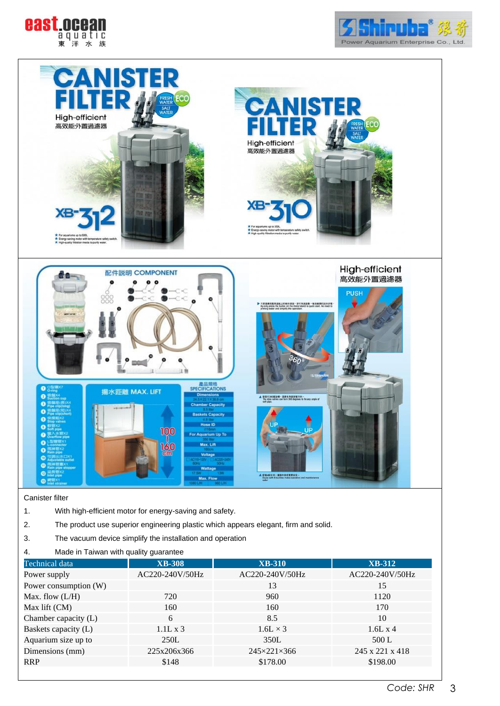





#### Canister filter

- 1. With high-efficient motor for energy-saving and safety.
- 2. The product use superior engineering plastic which appears elegant, firm and solid.
- 3. The vacuum device simplify the installation and operation
- 4. Made in Taiwan with quality guarantee

| Technical data        | <b>XB-308</b>   | <b>XB-310</b>               | <b>XB-312</b>   |
|-----------------------|-----------------|-----------------------------|-----------------|
| Power supply          | AC220-240V/50Hz | AC220-240V/50Hz             | AC220-240V/50Hz |
| Power consumption (W) |                 | 13                          | 15              |
| Max. flow $(L/H)$     | 720             | 960                         | 1120            |
| Max lift (CM)         | 160             | 160                         | 170             |
| Chamber capacity (L)  | 6               | 8.5                         | 10              |
| Baskets capacity (L)  | $1.1L \times 3$ | $1.6L \times 3$             | $1.6L \times 4$ |
| Aquarium size up to   | 250L            | 350L                        | 500 L           |
| Dimensions (mm)       | 225x206x366     | $245 \times 221 \times 366$ | 245 x 221 x 418 |
| <b>RRP</b>            | \$148           | \$178.00                    | \$198.00        |